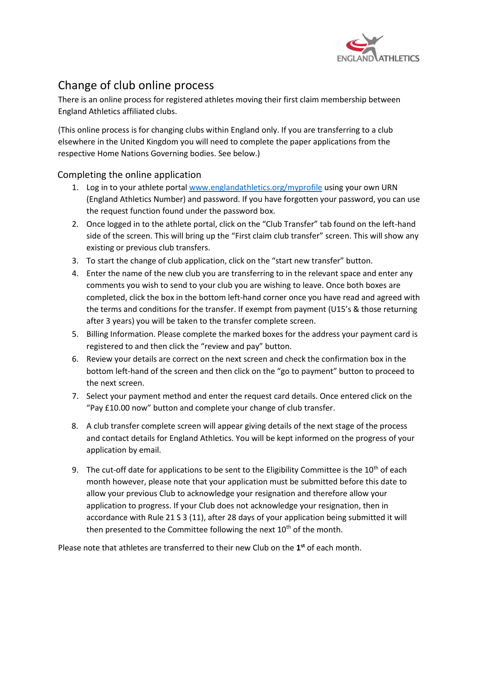

## Change of club online process

There is an online process for registered athletes moving their first claim membership between England Athletics affiliated clubs.

(This online process is for changing clubs within England only. If you are transferring to a club elsewhere in the United Kingdom you will need to complete the paper applications from the respective Home Nations Governing bodies. See below.)

## Completing the online application

- 1. Log in to your athlete porta[l www.englandathletics.org/myprofile](http://www.englandathletics.org/myprofile) using your own URN (England Athletics Number) and password. If you have forgotten your password, you can use the request function found under the password box.
- 2. Once logged in to the athlete portal, click on the "Club Transfer" tab found on the left-hand side of the screen. This will bring up the "First claim club transfer" screen. This will show any existing or previous club transfers.
- 3. To start the change of club application, click on the "start new transfer" button.
- 4. Enter the name of the new club you are transferring to in the relevant space and enter any comments you wish to send to your club you are wishing to leave. Once both boxes are completed, click the box in the bottom left-hand corner once you have read and agreed with the terms and conditions for the transfer. If exempt from payment (U15's & those returning after 3 years) you will be taken to the transfer complete screen.
- 5. Billing Information. Please complete the marked boxes for the address your payment card is registered to and then click the "review and pay" button.
- 6. Review your details are correct on the next screen and check the confirmation box in the bottom left-hand of the screen and then click on the "go to payment" button to proceed to the next screen.
- 7. Select your payment method and enter the request card details. Once entered click on the "Pay £10.00 now" button and complete your change of club transfer.
- 8. A club transfer complete screen will appear giving details of the next stage of the process and contact details for England Athletics. You will be kept informed on the progress of your application by email.
- 9. The cut-off date for applications to be sent to the Eligibility Committee is the  $10<sup>th</sup>$  of each month however, please note that your application must be submitted before this date to allow your previous Club to acknowledge your resignation and therefore allow your application to progress. If your Club does not acknowledge your resignation, then in accordance with Rule 21 S 3 (11), after 28 days of your application being submitted it will then presented to the Committee following the next  $10<sup>th</sup>$  of the month.

Please note that athletes are transferred to their new Club on the **1 st** of each month.